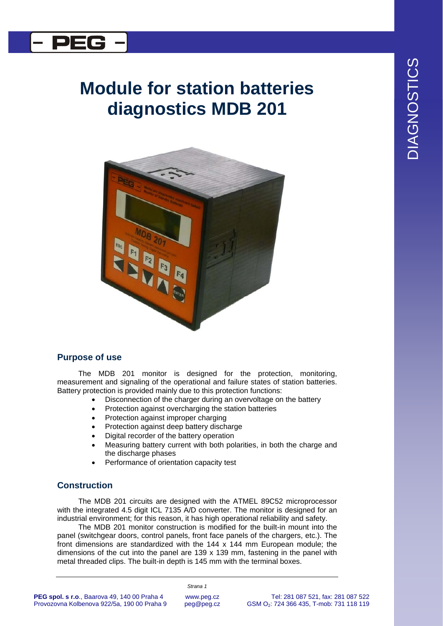

## **Module for station batteries diagnostics MDB 201**



## **Purpose of use**

The MDB 201 monitor is designed for the protection, monitoring, measurement and signaling of the operational and failure states of station batteries. Battery protection is provided mainly due to this protection functions:

- Disconnection of the charger during an overvoltage on the battery
- Protection against overcharging the station batteries
- Protection against improper charging
- Protection against deep battery discharge
- Digital recorder of the battery operation
- Measuring battery current with both polarities, in both the charge and the discharge phases
- Performance of orientation capacity test

## **Construction**

The MDB 201 circuits are designed with the ATMEL 89C52 microprocessor with the integrated 4.5 digit ICL 7135 A/D converter. The monitor is designed for an industrial environment; for this reason, it has high operational reliability and safety.

The MDB 201 monitor construction is modified for the built-in mount into the panel (switchgear doors, control panels, front face panels of the chargers, etc.). The front dimensions are standardized with the 144 x 144 mm European module; the dimensions of the cut into the panel are  $139 \times 139$  mm, fastening in the panel with metal threaded clips. The built-in depth is 145 mm with the terminal boxes.

DIAGNOSTICS **DIAGNOSTICS**